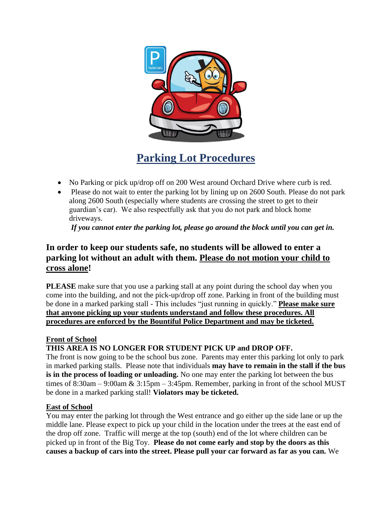

**Parking Lot Procedures** 

- No Parking or pick up/drop off on 200 West around Orchard Drive where curb is red.
- Please do not wait to enter the parking lot by lining up on 2600 South. Please do not park along 2600 South (especially where students are crossing the street to get to their guardian's car). We also respectfully ask that you do not park and block home driveways.

*If you cannot enter the parking lot, please go around the block until you can get in.*

# **In order to keep our students safe, no students will be allowed to enter a parking lot without an adult with them. Please do not motion your child to cross alone!**

**PLEASE** make sure that you use a parking stall at any point during the school day when you come into the building, and not the pick-up/drop off zone. Parking in front of the building must be done in a marked parking stall - This includes "just running in quickly." **Please make sure that anyone picking up your students understand and follow these procedures. All procedures are enforced by the Bountiful Police Department and may be ticketed.**

# **Front of School**

# **THIS AREA IS NO LONGER FOR STUDENT PICK UP and DROP OFF.**

The front is now going to be the school bus zone. Parents may enter this parking lot only to park in marked parking stalls. Please note that individuals **may have to remain in the stall if the bus is in the process of loading or unloading.** No one may enter the parking lot between the bus times of  $8:30$ am –  $9:00$ am &  $3:15$ pm –  $3:45$ pm. Remember, parking in front of the school MUST be done in a marked parking stall! **Violators may be ticketed.**

## **East of School**

You may enter the parking lot through the West entrance and go either up the side lane or up the middle lane. Please expect to pick up your child in the location under the trees at the east end of the drop off zone. Traffic will merge at the top (south) end of the lot where children can be picked up in front of the Big Toy. **Please do not come early and stop by the doors as this causes a backup of cars into the street. Please pull your car forward as far as you can.** We